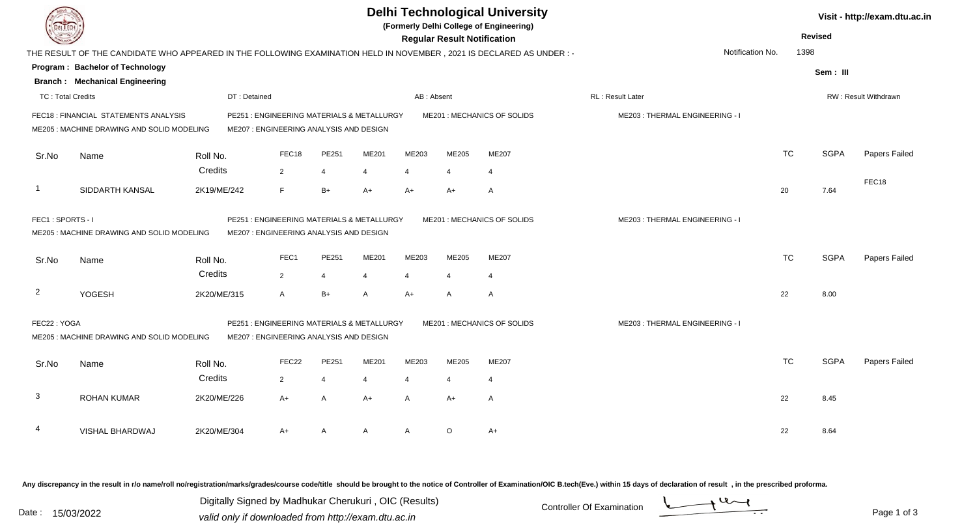| <b>DELTECH</b>                                                                                                                                                                       |                                                                                                                      |              |                                                                                       |                |                |                | <b>Regular Result Notification</b> | <b>Delhi Technological University</b><br>(Formerly Delhi College of Engineering) |                                |                  | <b>Revised</b> |             | Visit - http://exam.dtu.ac.in |
|--------------------------------------------------------------------------------------------------------------------------------------------------------------------------------------|----------------------------------------------------------------------------------------------------------------------|--------------|---------------------------------------------------------------------------------------|----------------|----------------|----------------|------------------------------------|----------------------------------------------------------------------------------|--------------------------------|------------------|----------------|-------------|-------------------------------|
|                                                                                                                                                                                      | THE RESULT OF THE CANDIDATE WHO APPEARED IN THE FOLLOWING EXAMINATION HELD IN NOVEMBER, 2021 IS DECLARED AS UNDER :- |              |                                                                                       |                |                |                |                                    |                                                                                  |                                | Notification No. | 1398           |             |                               |
|                                                                                                                                                                                      | Program: Bachelor of Technology                                                                                      |              |                                                                                       |                |                |                |                                    |                                                                                  |                                |                  |                | Sem: III    |                               |
|                                                                                                                                                                                      | <b>Branch: Mechanical Engineering</b>                                                                                |              |                                                                                       |                |                |                |                                    |                                                                                  |                                |                  |                |             |                               |
| <b>TC: Total Credits</b>                                                                                                                                                             |                                                                                                                      | DT: Detained |                                                                                       |                |                | AB: Absent     |                                    |                                                                                  | RL: Result Later               |                  |                |             | <b>RW: Result Withdrawn</b>   |
|                                                                                                                                                                                      | FEC18 : FINANCIAL STATEMENTS ANALYSIS<br>ME205: MACHINE DRAWING AND SOLID MODELING                                   |              | PE251 : ENGINEERING MATERIALS & METALLURGY<br>ME207 : ENGINEERING ANALYSIS AND DESIGN |                |                |                |                                    | ME201 : MECHANICS OF SOLIDS                                                      | ME203: THERMAL ENGINEERING - I |                  |                |             |                               |
| Sr.No                                                                                                                                                                                | Name                                                                                                                 | Roll No.     | FEC18                                                                                 | PE251          | ME201          | ME203          | ME205                              | ME207                                                                            |                                |                  | <b>TC</b>      | <b>SGPA</b> | Papers Failed                 |
|                                                                                                                                                                                      |                                                                                                                      | Credits      | $\overline{2}$                                                                        | $\overline{4}$ | $\overline{4}$ | $\overline{4}$ | 4                                  | 4                                                                                |                                |                  |                |             |                               |
| $\overline{1}$                                                                                                                                                                       | SIDDARTH KANSAL                                                                                                      | 2K19/ME/242  | F                                                                                     | $B+$           | $A+$           | $A+$           | A+                                 | A                                                                                |                                | 20               |                | 7.64        | FEC18                         |
| FEC1: SPORTS - I<br>PE251: ENGINEERING MATERIALS & METALLURGY<br>ME201 : MECHANICS OF SOLIDS<br>ME205: MACHINE DRAWING AND SOLID MODELING<br>ME207 : ENGINEERING ANALYSIS AND DESIGN |                                                                                                                      |              |                                                                                       |                |                |                |                                    | ME203: THERMAL ENGINEERING - I                                                   |                                |                  |                |             |                               |
| Sr.No                                                                                                                                                                                | Name                                                                                                                 | Roll No.     | FEC1                                                                                  | PE251          | ME201          | ME203          | ME205                              | ME207                                                                            |                                |                  | <b>TC</b>      | <b>SGPA</b> | Papers Failed                 |
|                                                                                                                                                                                      |                                                                                                                      | Credits      | $\overline{2}$                                                                        | $\overline{4}$ | $\overline{4}$ | $\overline{4}$ | 4                                  | $\overline{4}$                                                                   |                                |                  |                |             |                               |
| $\overline{2}$                                                                                                                                                                       | YOGESH                                                                                                               | 2K20/ME/315  | $\overline{A}$                                                                        | $B+$           | A              | $A+$           | Α                                  | $\mathsf{A}$                                                                     |                                | 22               |                | 8.00        |                               |
| FEC22: YOGA                                                                                                                                                                          | ME205: MACHINE DRAWING AND SOLID MODELING                                                                            |              | PE251 : ENGINEERING MATERIALS & METALLURGY<br>ME207: ENGINEERING ANALYSIS AND DESIGN  |                |                |                |                                    | ME201 : MECHANICS OF SOLIDS                                                      | ME203: THERMAL ENGINEERING - I |                  |                |             |                               |
| Sr.No                                                                                                                                                                                | Name                                                                                                                 | Roll No.     | FEC22                                                                                 | PE251          | ME201          | ME203          | ME205                              | ME207                                                                            |                                |                  | <b>TC</b>      | <b>SGPA</b> | Papers Failed                 |
|                                                                                                                                                                                      |                                                                                                                      | Credits      | $\overline{2}$                                                                        | $\overline{4}$ | 4              | $\overline{4}$ |                                    | 4                                                                                |                                |                  |                |             |                               |
| $\mathbf{3}$                                                                                                                                                                         | <b>ROHAN KUMAR</b>                                                                                                   | 2K20/ME/226  | $A+$                                                                                  | A              | $A+$           | A              | $A+$                               | A                                                                                |                                | 22               |                | 8.45        |                               |
|                                                                                                                                                                                      | VISHAL BHARDWAJ                                                                                                      | 2K20/ME/304  | $A+$                                                                                  | A              | A              | A              | O                                  | $A+$                                                                             |                                | 22               |                | 8.64        |                               |

Any discrepancy in the result in r/o name/roll no/registration/marks/grades/course code/title should be brought to the notice of Controller of Examination/OIC B.tech(Eve.) within 15 days of declaration of result ,in the p

Digitally Signed by Madhukar Cherukuri, OIC (Results)<br>Date : 15/03/2022 valid only if downloaded from http://oxam.dtu.ac.in Digitally Signed by Madhukar Cherukuri , OIC (Results)valid only if downloaded from http://exam.dtu.ac.in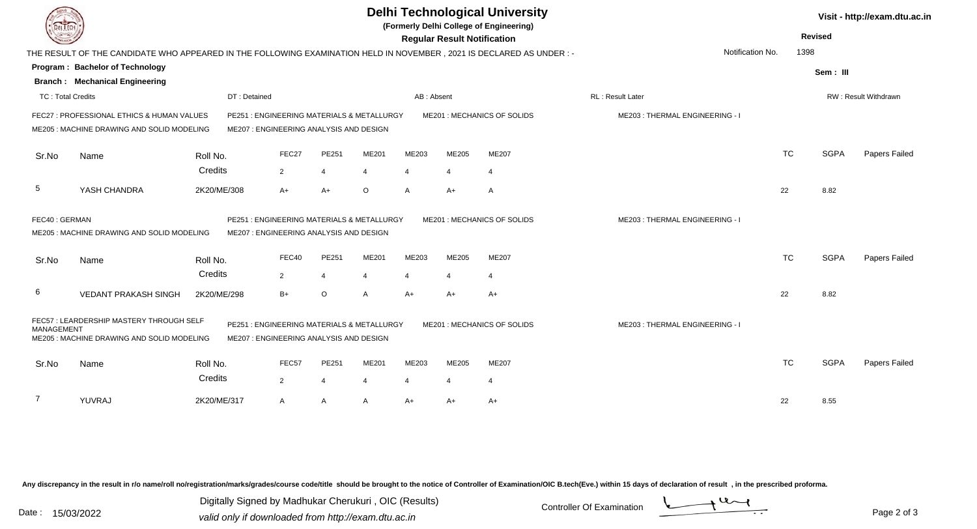| <b>DELTECH</b>                                                                                                                                                                                                                    |                                                                                                                      |              |                                                                                       |                |         |                | <b>Regular Result Notification</b> | <b>Delhi Technological University</b><br>(Formerly Delhi College of Engineering) |                                |                  | <b>Revised</b> |             | Visit - http://exam.dtu.ac.in |
|-----------------------------------------------------------------------------------------------------------------------------------------------------------------------------------------------------------------------------------|----------------------------------------------------------------------------------------------------------------------|--------------|---------------------------------------------------------------------------------------|----------------|---------|----------------|------------------------------------|----------------------------------------------------------------------------------|--------------------------------|------------------|----------------|-------------|-------------------------------|
|                                                                                                                                                                                                                                   | THE RESULT OF THE CANDIDATE WHO APPEARED IN THE FOLLOWING EXAMINATION HELD IN NOVEMBER, 2021 IS DECLARED AS UNDER :- |              |                                                                                       |                |         |                |                                    |                                                                                  |                                | Notification No. | 1398           |             |                               |
|                                                                                                                                                                                                                                   | <b>Program: Bachelor of Technology</b>                                                                               |              |                                                                                       |                |         |                |                                    |                                                                                  |                                |                  |                | Sem: III    |                               |
|                                                                                                                                                                                                                                   | <b>Branch: Mechanical Engineering</b>                                                                                |              |                                                                                       |                |         |                |                                    |                                                                                  |                                |                  |                |             |                               |
| TC: Total Credits                                                                                                                                                                                                                 |                                                                                                                      | DT: Detained |                                                                                       |                |         | AB: Absent     |                                    |                                                                                  | RL: Result Later               |                  |                |             | RW: Result Withdrawn          |
|                                                                                                                                                                                                                                   | FEC27 : PROFESSIONAL ETHICS & HUMAN VALUES<br>ME205: MACHINE DRAWING AND SOLID MODELING                              |              | PE251 : ENGINEERING MATERIALS & METALLURGY<br>ME207 : ENGINEERING ANALYSIS AND DESIGN |                |         |                |                                    | ME201 : MECHANICS OF SOLIDS                                                      | ME203: THERMAL ENGINEERING - I |                  |                |             |                               |
| Sr.No                                                                                                                                                                                                                             | Name                                                                                                                 | Roll No.     | FEC27                                                                                 | PE251          | ME201   | ME203          | ME205                              | ME207                                                                            |                                | <b>TC</b>        |                | <b>SGPA</b> | Papers Failed                 |
|                                                                                                                                                                                                                                   |                                                                                                                      | Credits      | 2                                                                                     | 4              | 4       | $\overline{4}$ | $\overline{\mathbf{4}}$            | 4                                                                                |                                |                  |                |             |                               |
| 5                                                                                                                                                                                                                                 | YASH CHANDRA                                                                                                         | 2K20/ME/308  | $A+$                                                                                  | $A+$           | $\circ$ | A              | A+                                 | A                                                                                |                                | 22               |                | 8.82        |                               |
| FEC40: GERMAN                                                                                                                                                                                                                     | ME205: MACHINE DRAWING AND SOLID MODELING                                                                            |              | PE251 : ENGINEERING MATERIALS & METALLURGY<br>ME207: ENGINEERING ANALYSIS AND DESIGN  |                |         |                |                                    | ME201: MECHANICS OF SOLIDS                                                       | ME203: THERMAL ENGINEERING - I |                  |                |             |                               |
| Sr.No                                                                                                                                                                                                                             | Name                                                                                                                 | Roll No.     | FEC40                                                                                 | PE251          | ME201   | ME203          | ME205                              | <b>ME207</b>                                                                     |                                | <b>TC</b>        |                | <b>SGPA</b> | Papers Failed                 |
|                                                                                                                                                                                                                                   |                                                                                                                      | Credits      | $\overline{2}$                                                                        | $\overline{4}$ | 4       | $\overline{4}$ | $\overline{4}$                     | $\overline{4}$                                                                   |                                |                  |                |             |                               |
| 6                                                                                                                                                                                                                                 | <b>VEDANT PRAKASH SINGH</b>                                                                                          | 2K20/ME/298  | $B+$                                                                                  | $\circ$        | A       | $A+$           | A+                                 | $A+$                                                                             |                                | 22               |                | 8.82        |                               |
| FEC57: LEARDERSHIP MASTERY THROUGH SELF<br>PE251: ENGINEERING MATERIALS & METALLURGY<br>ME201 : MECHANICS OF SOLIDS<br><b>MANAGEMENT</b><br>ME205 : MACHINE DRAWING AND SOLID MODELING<br>ME207 : ENGINEERING ANALYSIS AND DESIGN |                                                                                                                      |              |                                                                                       |                |         |                |                                    |                                                                                  | ME203: THERMAL ENGINEERING - I |                  |                |             |                               |
| Sr.No                                                                                                                                                                                                                             | Name                                                                                                                 | Roll No.     | FEC57                                                                                 | PE251          | ME201   | ME203          | ME205                              | ME207                                                                            |                                | <b>TC</b>        |                | <b>SGPA</b> | Papers Failed                 |
|                                                                                                                                                                                                                                   |                                                                                                                      | Credits      | $\overline{2}$                                                                        | $\overline{4}$ | 4       |                |                                    | $\overline{4}$                                                                   |                                |                  |                |             |                               |
| -7                                                                                                                                                                                                                                | YUVRAJ                                                                                                               | 2K20/ME/317  | $\mathsf{A}$                                                                          | A              | A       | $A+$           | A+                                 | $A+$                                                                             |                                | 22               |                | 8.55        |                               |

Any discrepancy in the result in r/o name/roll no/registration/marks/grades/course code/title should be brought to the notice of Controller of Examination/OIC B.tech(Eve.) within 15 days of declaration of result ,in the p

Digitally Signed by Madhukar Cherukuri, OIC (Results)<br>Date : 15/03/2022 valid only if downloaded from http://oxam.dtu.ac.in Digitally Signed by Madhukar Cherukuri , OIC (Results)valid only if downloaded from http://exam.dtu.ac.in